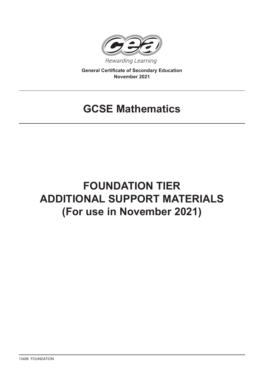

**General Certificate of Secondary Education November 2021**

## **GCSE Mathematics**

# **FOUNDATION TIER ADDITIONAL SUPPORT MATERIALS (For use in November 2021)**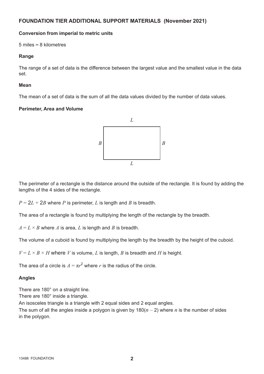## **FOUNDATION TIER ADDITIONAL SUPPORT MATERIALS (November 2021)**

#### **Conversion from imperial to metric units**

5 miles **=** 8 kilometres

#### **Range**

The range of a set of data is the difference between the largest value and the smallest value in the data set.

#### **Mean**

The mean of a set of data is the sum of all the data values divided by the number of data values.

### **Perimeter, Area and Volume**



The perimeter of a rectangle is the distance around the outside of the rectangle. It is found by adding the lengths of the 4 sides of the rectangle.

 $P = 2L + 2B$  where *P* is perimeter, *L* is length and *B* is breadth.

The area of a rectangle is found by multiplying the length of the rectangle by the breadth.

 $A = L \times B$  where *A* is area, *L* is length and *B* is breadth.

The volume of a cuboid is found by multiplying the length by the breadth by the height of the cuboid.

 $V = L \times B \times H$  where *V* is volume, *L* is length, *B* is breadth and *H* is height.

The area of a circle is  $A = \pi r^2$  where  $r$  is the radius of the circle.

## **Angles**

There are 180° on a straight line.

There are 180° inside a triangle.

An isosceles triangle is a triangle with 2 equal sides and 2 equal angles.

The sum of all the angles inside a polygon is given by  $180(n - 2)$  where *n* is the number of sides in the polygon.